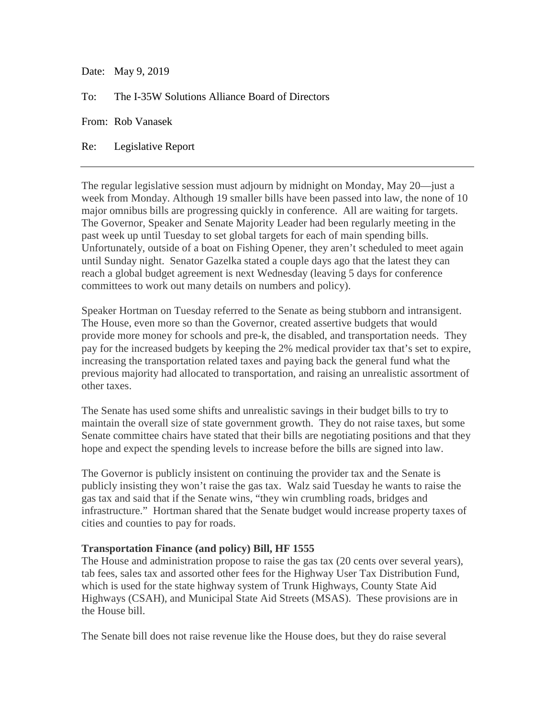Date: May 9, 2019

To: The I-35W Solutions Alliance Board of Directors

From: Rob Vanasek

Re: Legislative Report

The regular legislative session must adjourn by midnight on Monday, May 20—just a week from Monday. Although 19 smaller bills have been passed into law, the none of 10 major omnibus bills are progressing quickly in conference. All are waiting for targets. The Governor, Speaker and Senate Majority Leader had been regularly meeting in the past week up until Tuesday to set global targets for each of main spending bills. Unfortunately, outside of a boat on Fishing Opener, they aren't scheduled to meet again until Sunday night. Senator Gazelka stated a couple days ago that the latest they can reach a global budget agreement is next Wednesday (leaving 5 days for conference committees to work out many details on numbers and policy).

Speaker Hortman on Tuesday referred to the Senate as being stubborn and intransigent. The House, even more so than the Governor, created assertive budgets that would provide more money for schools and pre-k, the disabled, and transportation needs. They pay for the increased budgets by keeping the 2% medical provider tax that's set to expire, increasing the transportation related taxes and paying back the general fund what the previous majority had allocated to transportation, and raising an unrealistic assortment of other taxes.

The Senate has used some shifts and unrealistic savings in their budget bills to try to maintain the overall size of state government growth. They do not raise taxes, but some Senate committee chairs have stated that their bills are negotiating positions and that they hope and expect the spending levels to increase before the bills are signed into law.

The Governor is publicly insistent on continuing the provider tax and the Senate is publicly insisting they won't raise the gas tax. Walz said Tuesday he wants to raise the gas tax and said that if the Senate wins, "they win crumbling roads, bridges and infrastructure." Hortman shared that the Senate budget would increase property taxes of cities and counties to pay for roads.

## **Transportation Finance (and policy) Bill, HF 1555**

The House and administration propose to raise the gas tax (20 cents over several years), tab fees, sales tax and assorted other fees for the Highway User Tax Distribution Fund, which is used for the state highway system of Trunk Highways, County State Aid Highways (CSAH), and Municipal State Aid Streets (MSAS). These provisions are in the House bill.

The Senate bill does not raise revenue like the House does, but they do raise several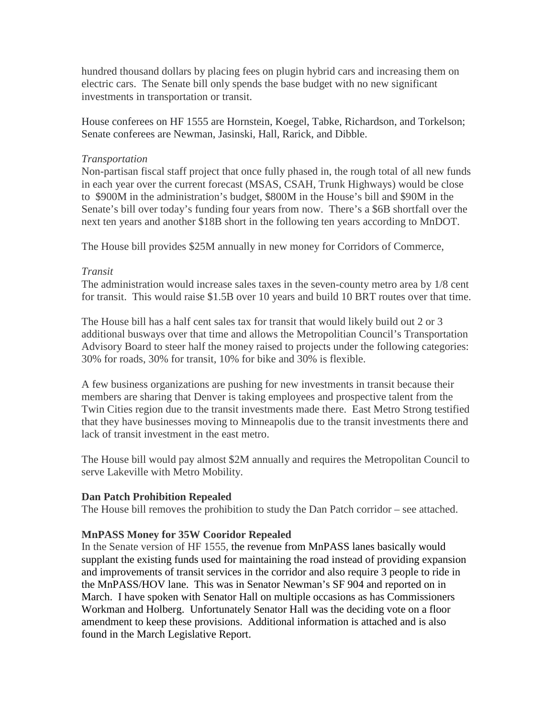hundred thousand dollars by placing fees on plugin hybrid cars and increasing them on electric cars. The Senate bill only spends the base budget with no new significant investments in transportation or transit.

House conferees on HF 1555 are Hornstein, Koegel, Tabke, Richardson, and Torkelson; Senate conferees are Newman, Jasinski, Hall, Rarick, and Dibble.

# *Transportation*

Non-partisan fiscal staff project that once fully phased in, the rough total of all new funds in each year over the current forecast (MSAS, CSAH, Trunk Highways) would be close to \$900M in the administration's budget, \$800M in the House's bill and \$90M in the Senate's bill over today's funding four years from now. There's a \$6B shortfall over the next ten years and another \$18B short in the following ten years according to MnDOT.

The House bill provides \$25M annually in new money for Corridors of Commerce,

## *Transit*

The administration would increase sales taxes in the seven-county metro area by 1/8 cent for transit. This would raise \$1.5B over 10 years and build 10 BRT routes over that time.

The House bill has a half cent sales tax for transit that would likely build out 2 or 3 additional busways over that time and allows the Metropolitian Council's Transportation Advisory Board to steer half the money raised to projects under the following categories: 30% for roads, 30% for transit, 10% for bike and 30% is flexible.

A few business organizations are pushing for new investments in transit because their members are sharing that Denver is taking employees and prospective talent from the Twin Cities region due to the transit investments made there. East Metro Strong testified that they have businesses moving to Minneapolis due to the transit investments there and lack of transit investment in the east metro.

The House bill would pay almost \$2M annually and requires the Metropolitan Council to serve Lakeville with Metro Mobility.

# **Dan Patch Prohibition Repealed**

The House bill removes the prohibition to study the Dan Patch corridor – see attached.

# **MnPASS Money for 35W Cooridor Repealed**

In the Senate version of HF 1555, the revenue from MnPASS lanes basically would supplant the existing funds used for maintaining the road instead of providing expansion and improvements of transit services in the corridor and also require 3 people to ride in the MnPASS/HOV lane. This was in Senator Newman's SF 904 and reported on in March. I have spoken with Senator Hall on multiple occasions as has Commissioners Workman and Holberg. Unfortunately Senator Hall was the deciding vote on a floor amendment to keep these provisions. Additional information is attached and is also found in the March Legislative Report.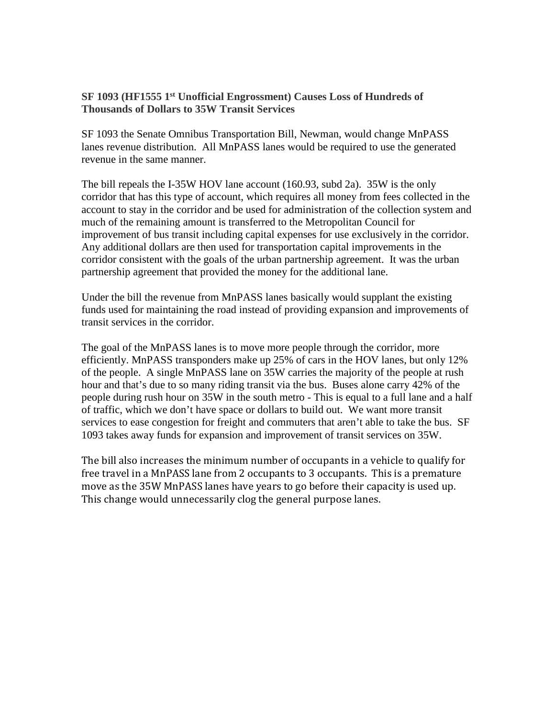# **SF 1093 (HF1555 1st Unofficial Engrossment) Causes Loss of Hundreds of Thousands of Dollars to 35W Transit Services**

SF 1093 the Senate Omnibus Transportation Bill, Newman, would change MnPASS lanes revenue distribution. All MnPASS lanes would be required to use the generated revenue in the same manner.

The bill repeals the I-35W HOV lane account (160.93, subd 2a). 35W is the only corridor that has this type of account, which requires all money from fees collected in the account to stay in the corridor and be used for administration of the collection system and much of the remaining amount is transferred to the Metropolitan Council for improvement of bus transit including capital expenses for use exclusively in the corridor. Any additional dollars are then used for transportation capital improvements in the corridor consistent with the goals of the urban partnership agreement. It was the urban partnership agreement that provided the money for the additional lane.

Under the bill the revenue from MnPASS lanes basically would supplant the existing funds used for maintaining the road instead of providing expansion and improvements of transit services in the corridor.

The goal of the MnPASS lanes is to move more people through the corridor, more efficiently. MnPASS transponders make up 25% of cars in the HOV lanes, but only 12% of the people. A single MnPASS lane on 35W carries the majority of the people at rush hour and that's due to so many riding transit via the bus. Buses alone carry 42% of the people during rush hour on 35W in the south metro - This is equal to a full lane and a half of traffic, which we don't have space or dollars to build out. We want more transit services to ease congestion for freight and commuters that aren't able to take the bus. SF 1093 takes away funds for expansion and improvement of transit services on 35W.

The bill also increases the minimum number of occupants in a vehicle to qualify for free travel in a MnPASS lane from 2 occupants to 3 occupants. This is a premature move as the 35W MnPASS lanes have years to go before their capacity is used up. This change would unnecessarily clog the general purpose lanes.